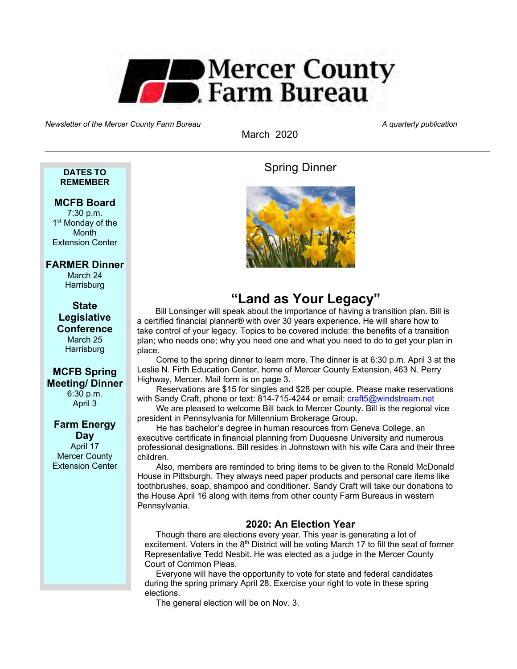

Newsletter of the Mercer County Farm Bureau A quarterly publication and the Mercer County Farm Bureau A quarterly publication

March 2020  $\_$  , and the set of the set of the set of the set of the set of the set of the set of the set of the set of the set of the set of the set of the set of the set of the set of the set of the set of the set of the set of th

## **DATES TO REMEMBER**

## **MCFB Board**

7:30 p.m. 1<sup>st</sup> Monday of the **Month** Extension Center

## **FARMER Dinner**

March 24 **Harrisburg** 

**State Legislative Conference** March 25 **Harrisburg** 

## **MCFB Spring Meeting/ Dinner** 6:30 p.m.

April 3

## **Farm Energy Day** April 17 Mercer County Extension Center

Spring Dinner



# **"Land as Your Legacy"**

Bill Lonsinger will speak about the importance of having a transition plan. Bill is a certified financial planner® with over 30 years experience. He will share how to take control of your legacy. Topics to be covered include: the benefits of a transition plan; who needs one; why you need one and what you need to do to get your plan in place.

Come to the spring dinner to learn more. The dinner is at 6:30 p.m. April 3 at the Leslie N. Firth Education Center, home of Mercer County Extension, 463 N. Perry Highway, Mercer. Mail form is on page 3.

Reservations are \$15 for singles and \$28 per couple. Please make reservations with Sandy Craft, phone or text: 814-715-4244 or email: craft5@windstream.net

We are pleased to welcome Bill back to Mercer County. Bill is the regional vice president in Pennsylvania for Millennium Brokerage Group.

He has bachelor's degree in human resources from Geneva College, an executive certificate in financial planning from Duquesne University and numerous professional designations. Bill resides in Johnstown with his wife Cara and their three children.

Also, members are reminded to bring items to be given to the Ronald McDonald House in Pittsburgh. They always need paper products and personal care items like toothbrushes, soap, shampoo and conditioner. Sandy Craft will take our donations to the House April 16 along with items from other county Farm Bureaus in western Pennsylvania.

## **2020: An Election Year**

Though there are elections every year. This year is generating a lot of excitement. Voters in the  $8<sup>th</sup>$  District will be voting March 17 to fill the seat of former Representative Tedd Nesbit. He was elected as a judge in the Mercer County Court of Common Pleas.

Everyone will have the opportunity to vote for state and federal candidates during the spring primary April 28. Exercise your right to vote in these spring elections.

The general election will be on Nov. 3.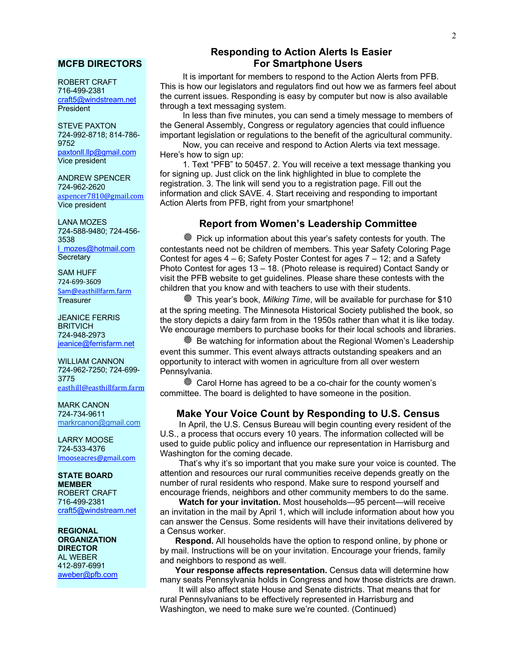### **MCFB DIRECTORS**

ROBERT CRAFT 716-499-2381 craft5@windstream.net **President** 

STEVE PAXTON 724-992-8718; 814-786- 9752 paxtonll.llp@gmail.com Vice president

ANDREW SPENCER 724-962-2620 aspencer7810@gmail.com Vice president

LANA MOZES 724-588-9480; 724-456- 3538 l\_mozes@hotmail.com **Secretary** 

SAM HUFF 724-699-3609 Sam@easthillfarm.farm **Treasurer** 

JEANICE FERRIS **BRITVICH** 724-948-2973 ieanice@ferrisfarm.net

WILLIAM CANNON 724-962-7250; 724-699- 3775 easthill@easthillfarm.farm

MARK CANON 724-734-9611 markrcanon@gmail.com

LARRY MOOSE 724-533-4376 lmooseacres@gmail.com

**STATE BOARD MEMBER** ROBERT CRAFT 716-499-2381 craft5@windstream.net

**REGIONAL ORGANIZATION DIRECTOR** AL WEBER 412-897-6991 aweber@pfb.com

## **Responding to Action Alerts Is Easier For Smartphone Users**

It is important for members to respond to the Action Alerts from PFB. This is how our legislators and regulators find out how we as farmers feel about the current issues. Responding is easy by computer but now is also available through a text messaging system.

In less than five minutes, you can send a timely message to members of the General Assembly, Congress or regulatory agencies that could influence important legislation or regulations to the benefit of the agricultural community.

Now, you can receive and respond to Action Alerts via text message. Here's how to sign up:

1. Text "PFB" to 50457. 2. You will receive a text message thanking you for signing up. Just click on the link highlighted in blue to complete the registration. 3. The link will send you to a registration page. Fill out the information and click SAVE. 4. Start receiving and responding to important Action Alerts from PFB, right from your smartphone!

## **Report from Women's Leadership Committee**

<sup>«</sup> Pick up information about this year's safety contests for youth. The contestants need not be children of members. This year Safety Coloring Page Contest for ages 4 – 6; Safety Poster Contest for ages 7 – 12; and a Safety Photo Contest for ages 13 – 18. (Photo release is required) Contact Sandy or visit the PFB website to get guidelines. Please share these contests with the children that you know and with teachers to use with their students.

õ This year's book, *Milking Time*, will be available for purchase for \$10 at the spring meeting. The Minnesota Historical Society published the book, so the story depicts a dairy farm from in the 1950s rather than what it is like today. We encourage members to purchase books for their local schools and libraries.

<sup>« Be watching for information about the Regional Women's Leadership</sup> event this summer. This event always attracts outstanding speakers and an opportunity to interact with women in agriculture from all over western Pennsylvania.

**« Carol Horne has agreed to be a co-chair for the county women's** committee. The board is delighted to have someone in the position.

## **Make Your Voice Count by Responding to U.S. Census**

In April, the U.S. Census Bureau will begin counting every resident of the U.S., a process that occurs every 10 years. The information collected will be used to guide public policy and influence our representation in Harrisburg and Washington for the coming decade.

That's why it's so important that you make sure your voice is counted. The attention and resources our rural communities receive depends greatly on the number of rural residents who respond. Make sure to respond yourself and encourage friends, neighbors and other community members to do the same.

**Watch for your invitation.** Most households—95 percent—will receive an invitation in the mail by April 1, which will include information about how you can answer the Census. Some residents will have their invitations delivered by a Census worker.

**Respond.** All households have the option to respond online, by phone or by mail. Instructions will be on your invitation. Encourage your friends, family and neighbors to respond as well.

**Your response affects representation.** Census data will determine how many seats Pennsylvania holds in Congress and how those districts are drawn.

It will also affect state House and Senate districts. That means that for rural Pennsylvanians to be effectively represented in Harrisburg and Washington, we need to make sure we're counted. (Continued)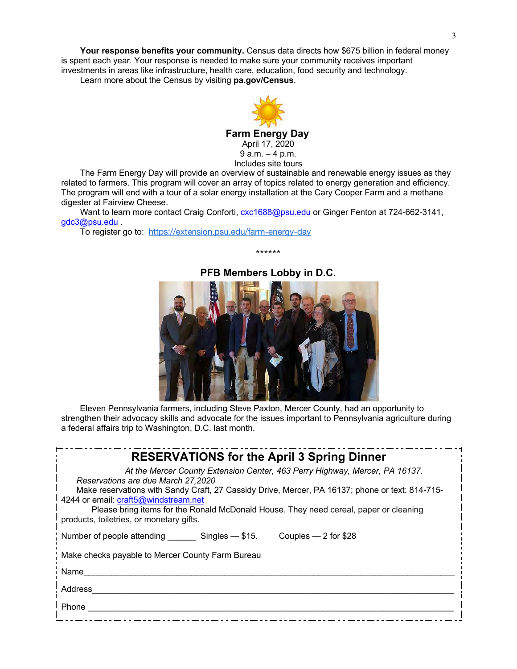**Your response benefits your community.** Census data directs how \$675 billion in federal money is spent each year. Your response is needed to make sure your community receives important investments in areas like infrastructure, health care, education, food security and technology. Learn more about the Census by visiting **pa.gov/Census**.



The Farm Energy Day will provide an overview of sustainable and renewable energy issues as they related to farmers. This program will cover an array of topics related to energy generation and efficiency. The program will end with a tour of a solar energy installation at the Cary Cooper Farm and a methane digester at Fairview Cheese.

Want to learn more contact Craig Conforti, **cxc1688@psu.edu** or Ginger Fenton at 724-662-3141, gdc3@psu.edu .

To register go to: https://extension.psu.edu/farm-energy-day



**PFB Members Lobby in D.C.**

\*\*\*\*\*\*

Eleven Pennsylvania farmers, including Steve Paxton, Mercer County, had an opportunity to strengthen their advocacy skills and advocate for the issues important to Pennsylvania agriculture during a federal affairs trip to Washington, D.C. last month.

| <b>RESERVATIONS for the April 3 Spring Dinner</b>                                                                                                                         |
|---------------------------------------------------------------------------------------------------------------------------------------------------------------------------|
| At the Mercer County Extension Center, 463 Perry Highway, Mercer, PA 16137.<br>Reservations are due March 27,2020                                                         |
| Make reservations with Sandy Craft, 27 Cassidy Drive, Mercer, PA 16137; phone or text: 814-715-                                                                           |
| 4244 or email: craft5@windstream.net<br>Please bring items for the Ronald McDonald House. They need cereal, paper or cleaning<br>products, toiletries, or monetary gifts. |
| Number of people attending Singles - \$15.<br>Couples — 2 for $$28$                                                                                                       |
| Make checks payable to Mercer County Farm Bureau                                                                                                                          |
| Name                                                                                                                                                                      |
| Address                                                                                                                                                                   |
| Phone                                                                                                                                                                     |
|                                                                                                                                                                           |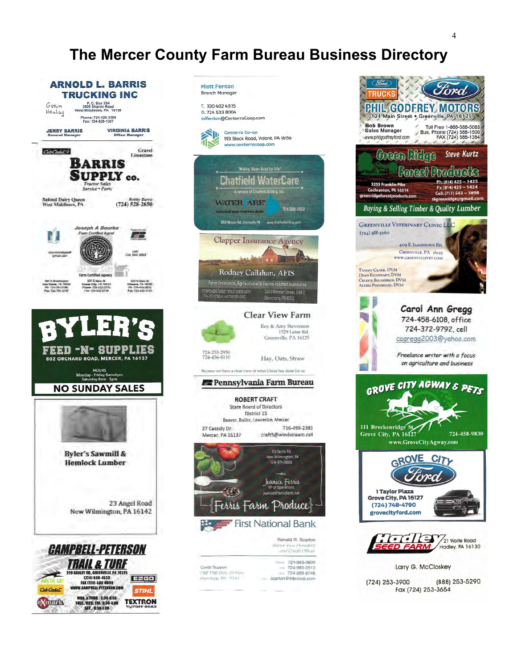# **The Mercer County Farm Bureau Business Directory**





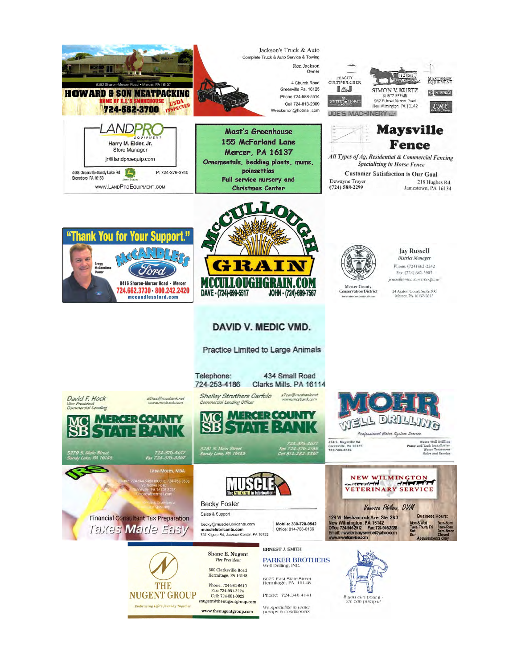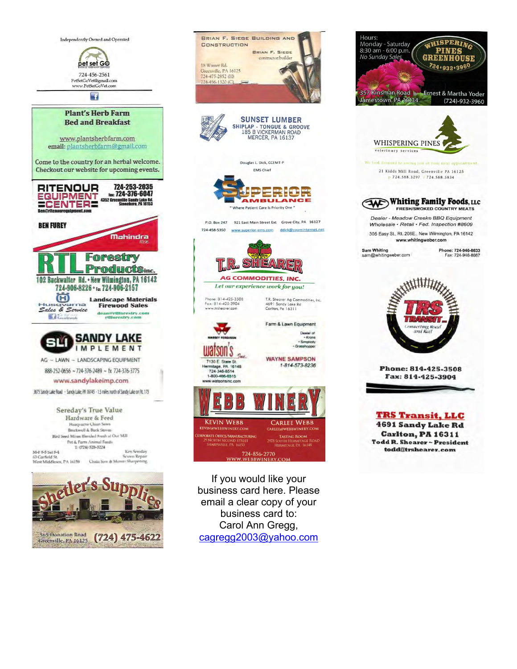



If you would like your business card here. Please email a clear copy of your business card to: Carol Ann Gregg, cagregg2003@yahoo.com

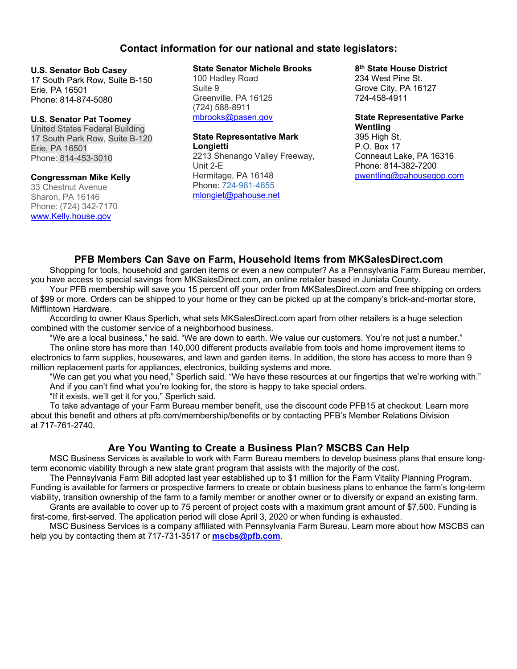## **Contact information for our national and state legislators:**

#### **U.S. Senator Bob Casey**

17 South Park Row, Suite B-150 Erie, PA 16501 Phone: 814-874-5080

### **U.S. Senator Pat Toomey**

United States Federal Building 17 South Park Row, Suite B-120 Erie, PA 16501 Phone: 814-453-3010

#### **Congressman Mike Kelly**

33 Chestnut Avenue Sharon, PA 16146 Phone: (724) 342-7170 www.Kelly.house.gov

#### **State Senator Michele Brooks**

100 Hadley Road Suite 9 Greenville, PA 16125 (724) 588-8911 mbrooks@pasen.gov

#### **State Representative Mark Longietti**

2213 Shenango Valley Freeway, Unit 2-E Hermitage, PA 16148 Phone: 724-981-4655 mlongiet@pahouse.net

### **8th State House District**

234 West Pine St. Grove City, PA 16127 724-458-4911

#### **State Representative Parke Wentling**

395 High St. P.O. Box 17 Conneaut Lake, PA 16316 Phone: 814-382-7200 pwentling@pahousegop.com

## **PFB Members Can Save on Farm, Household Items from MKSalesDirect.com**

Shopping for tools, household and garden items or even a new computer? As a Pennsylvania Farm Bureau member, you have access to special savings from MKSalesDirect.com, an online retailer based in Juniata County.

Your PFB membership will save you 15 percent off your order from MKSalesDirect.com and free shipping on orders of \$99 or more. Orders can be shipped to your home or they can be picked up at the company's brick-and-mortar store, Mifflintown Hardware.

According to owner Klaus Sperlich, what sets MKSalesDirect.com apart from other retailers is a huge selection combined with the customer service of a neighborhood business.

"We are a local business," he said. "We are down to earth. We value our customers. You're not just a number." The online store has more than 140,000 different products available from tools and home improvement items to electronics to farm supplies, housewares, and lawn and garden items. In addition, the store has access to more than 9 million replacement parts for appliances, electronics, building systems and more.

"We can get you what you need," Sperlich said. "We have these resources at our fingertips that we're working with." And if you can't find what you're looking for, the store is happy to take special orders.

"If it exists, we'll get it for you," Sperlich said.

To take advantage of your Farm Bureau member benefit, use the discount code PFB15 at checkout. Learn more about this benefit and others at pfb.com/membership/benefits or by contacting PFB's Member Relations Division at 717-761-2740.

# **Are You Wanting to Create a Business Plan? MSCBS Can Help**

MSC Business Services is available to work with Farm Bureau members to develop business plans that ensure longterm economic viability through a new state grant program that assists with the majority of the cost.

The Pennsylvania Farm Bill adopted last year established up to \$1 million for the Farm Vitality Planning Program. Funding is available for farmers or prospective farmers to create or obtain business plans to enhance the farm's long-term viability, transition ownership of the farm to a family member or another owner or to diversify or expand an existing farm.

Grants are available to cover up to 75 percent of project costs with a maximum grant amount of \$7,500. Funding is first-come, first-served. The application period will close April 3, 2020 or when funding is exhausted.

MSC Business Services is a company affiliated with Pennsylvania Farm Bureau. Learn more about how MSCBS can help you by contacting them at 717-731-3517 or **mscbs@pfb.com**.